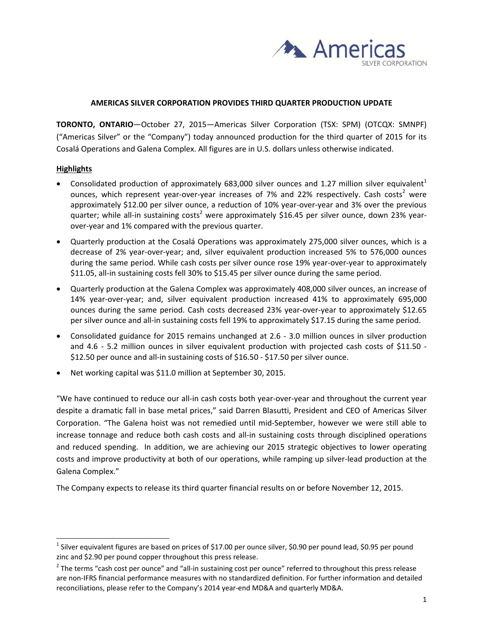

## **AMERICAS SILVER CORPORATION PROVIDES THIRD QUARTER PRODUCTION UPDATE**

**TORONTO, ONTARIO**—October 27, 2015—Americas Silver Corporation (TSX: SPM) (OTCQX: SMNPF) ("Americas Silver" or the "Company") today announced production for the third quarter of 2015 for its Cosalá Operations and Galena Complex. All figures are in U.S. dollars unless otherwise indicated.

## **Highlights**

-

- Consolidated production of approximately 683,000 silver ounces and 1.27 million silver equivalent<sup>1</sup> ounces, which represent year-over-year increases of 7% and 22% respectively. Cash costs<sup>2</sup> were approximately \$12.00 per silver ounce, a reduction of 10% year‐over‐year and 3% over the previous quarter; while all-in sustaining costs<sup>2</sup> were approximately \$16.45 per silver ounce, down 23% yearover‐year and 1% compared with the previous quarter.
- Quarterly production at the Cosalá Operations was approximately 275,000 silver ounces, which is a decrease of 2% year‐over‐year; and, silver equivalent production increased 5% to 576,000 ounces during the same period. While cash costs per silver ounce rose 19% year‐over‐year to approximately \$11.05, all-in sustaining costs fell 30% to \$15.45 per silver ounce during the same period.
- Quarterly production at the Galena Complex was approximately 408,000 silver ounces, an increase of 14% year‐over‐year; and, silver equivalent production increased 41% to approximately 695,000 ounces during the same period. Cash costs decreased 23% year‐over‐year to approximately \$12.65 per silver ounce and all-in sustaining costs fell 19% to approximately \$17.15 during the same period.
- Consolidated guidance for 2015 remains unchanged at 2.6 ‐ 3.0 million ounces in silver production and 4.6 - 5.2 million ounces in silver equivalent production with projected cash costs of \$11.50 -\$12.50 per ounce and all-in sustaining costs of \$16.50 - \$17.50 per silver ounce.
- Net working capital was \$11.0 million at September 30, 2015.

"We have continued to reduce our all‐in cash costs both year‐over‐year and throughout the current year despite a dramatic fall in base metal prices," said Darren Blasutti, President and CEO of Americas Silver Corporation. "The Galena hoist was not remedied until mid‐September, however we were still able to increase tonnage and reduce both cash costs and all‐in sustaining costs through disciplined operations and reduced spending. In addition, we are achieving our 2015 strategic objectives to lower operating costs and improve productivity at both of our operations, while ramping up silver‐lead production at the Galena Complex."

The Company expects to release its third quarter financial results on or before November 12, 2015.

 $1$  Silver equivalent figures are based on prices of \$17.00 per ounce silver, \$0.90 per pound lead, \$0.95 per pound zinc and \$2.90 per pound copper throughout this press release.

 $2$  The terms "cash cost per ounce" and "all-in sustaining cost per ounce" referred to throughout this press release are non‐IFRS financial performance measures with no standardized definition. For further information and detailed reconciliations, please refer to the Company's 2014 year-end MD&A and quarterly MD&A.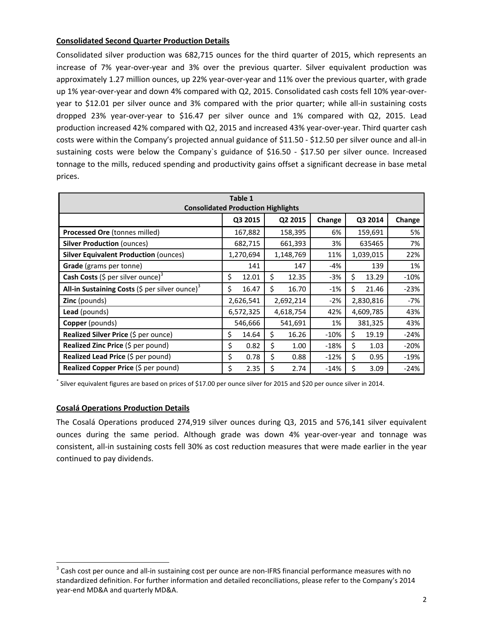# **Consolidated Second Quarter Production Details**

Consolidated silver production was 682,715 ounces for the third quarter of 2015, which represents an increase of 7% year‐over‐year and 3% over the previous quarter. Silver equivalent production was approximately 1.27 million ounces, up 22% year‐over‐year and 11% over the previous quarter, with grade up 1% year-over-year and down 4% compared with Q2, 2015. Consolidated cash costs fell 10% year-overyear to \$12.01 per silver ounce and 3% compared with the prior quarter; while all-in sustaining costs dropped 23% year‐over‐year to \$16.47 per silver ounce and 1% compared with Q2, 2015. Lead production increased 42% compared with Q2, 2015 and increased 43% year‐over‐year. Third quarter cash costs were within the Company's projected annual guidance of \$11.50 ‐ \$12.50 per silver ounce and all‐in sustaining costs were below the Company's guidance of \$16.50 - \$17.50 per silver ounce. Increased tonnage to the mills, reduced spending and productivity gains offset a significant decrease in base metal prices.

| Table 1<br><b>Consolidated Production Highlights</b>                          |             |             |        |             |        |  |
|-------------------------------------------------------------------------------|-------------|-------------|--------|-------------|--------|--|
|                                                                               | Q3 2015     | Q2 2015     | Change | Q3 2014     | Change |  |
| Processed Ore (tonnes milled)                                                 | 167,882     | 158,395     | 6%     | 159,691     | 5%     |  |
| <b>Silver Production (ounces)</b>                                             | 682,715     | 661,393     | 3%     | 635465      | 7%     |  |
| <b>Silver Equivalent Production (ounces)</b>                                  | 1,270,694   | 1,148,769   | 11%    | 1,039,015   | 22%    |  |
| Grade (grams per tonne)                                                       | 141         | 147         | -4%    | 139         | 1%     |  |
| <b>Cash Costs</b> (\$ per silver ounce) <sup>3</sup>                          | \$<br>12.01 | Ś.<br>12.35 | $-3%$  | \$<br>13.29 | $-10%$ |  |
| <b>All-in Sustaining Costs (</b> $\frac{1}{2}$ per silver ounce) <sup>3</sup> | Ś.<br>16.47 | \$<br>16.70 | $-1%$  | \$<br>21.46 | $-23%$ |  |
| <b>Zinc</b> (pounds)                                                          | 2,626,541   | 2,692,214   | $-2%$  | 2,830,816   | -7%    |  |
| <b>Lead</b> (pounds)                                                          | 6,572,325   | 4,618,754   | 42%    | 4,609,785   | 43%    |  |
| Copper (pounds)                                                               | 546,666     | 541,691     | 1%     | 381,325     | 43%    |  |
| Realized Silver Price (\$ per ounce)                                          | \$<br>14.64 | \$<br>16.26 | $-10%$ | \$<br>19.19 | $-24%$ |  |
| <b>Realized Zinc Price</b> (\$ per pound)                                     | \$<br>0.82  | \$<br>1.00  | $-18%$ | \$<br>1.03  | $-20%$ |  |
| Realized Lead Price (\$ per pound)                                            | \$<br>0.78  | \$<br>0.88  | $-12%$ | \$<br>0.95  | $-19%$ |  |
| Realized Copper Price (\$ per pound)                                          | \$<br>2.35  | \$<br>2.74  | $-14%$ | \$<br>3.09  | $-24%$ |  |

\* Silver equivalent figures are based on prices of \$17.00 per ounce silver for 2015 and \$20 per ounce silver in 2014.

## **Cosalá Operations Production Details**

-

The Cosalá Operations produced 274,919 silver ounces during Q3, 2015 and 576,141 silver equivalent ounces during the same period. Although grade was down 4% year‐over‐year and tonnage was consistent, all-in sustaining costs fell 30% as cost reduction measures that were made earlier in the year continued to pay dividends.

 $3$  Cash cost per ounce and all-in sustaining cost per ounce are non-IFRS financial performance measures with no standardized definition. For further information and detailed reconciliations, please refer to the Company's 2014 year‐end MD&A and quarterly MD&A.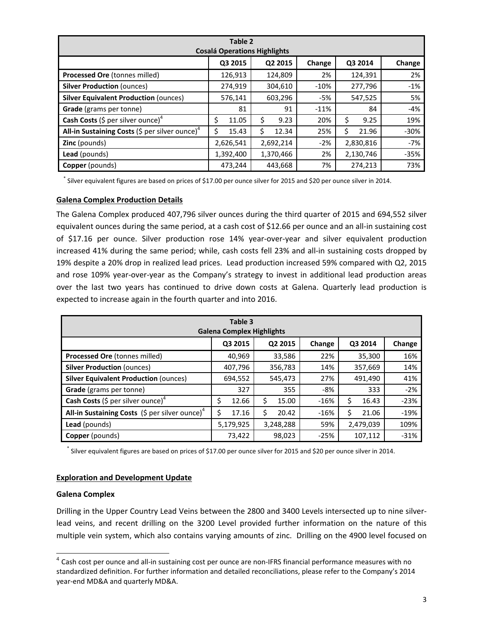| Table 2<br><b>Cosalá Operations Highlights</b>                                |             |            |        |             |        |  |
|-------------------------------------------------------------------------------|-------------|------------|--------|-------------|--------|--|
|                                                                               | Q3 2015     | Q2 2015    | Change | Q3 2014     | Change |  |
| Processed Ore (tonnes milled)                                                 | 126,913     | 124,809    | 2%     | 124,391     | 2%     |  |
| <b>Silver Production (ounces)</b>                                             | 274,919     | 304,610    | $-10%$ | 277,796     | $-1%$  |  |
| <b>Silver Equivalent Production (ounces)</b>                                  | 576,141     | 603,296    | -5%    | 547,525     | 5%     |  |
| Grade (grams per tonne)                                                       | 81          | 91         | $-11%$ | 84          | -4%    |  |
| <b>Cash Costs</b> (\$ per silver ounce) <sup>4</sup>                          | \$<br>11.05 | \$<br>9.23 | 20%    | Ś<br>9.25   | 19%    |  |
| <b>All-in Sustaining Costs (</b> $\frac{1}{2}$ per silver ounce) <sup>4</sup> | 15.43       | 12.34<br>Ś | 25%    | Ś.<br>21.96 | $-30%$ |  |
| <b>Zinc</b> (pounds)                                                          | 2,626,541   | 2,692,214  | $-2%$  | 2,830,816   | $-7%$  |  |
| Lead (pounds)                                                                 | 1,392,400   | 1,370,466  | 2%     | 2,130,746   | $-35%$ |  |
| Copper (pounds)                                                               | 473,244     | 443,668    | 7%     | 274,213     | 73%    |  |

\* Silver equivalent figures are based on prices of \$17.00 per ounce silver for 2015 and \$20 per ounce silver in 2014.

## **Galena Complex Production Details**

The Galena Complex produced 407,796 silver ounces during the third quarter of 2015 and 694,552 silver equivalent ounces during the same period, at a cash cost of \$12.66 per ounce and an all-in sustaining cost of \$17.16 per ounce. Silver production rose 14% year‐over‐year and silver equivalent production increased 41% during the same period; while, cash costs fell 23% and all-in sustaining costs dropped by 19% despite a 20% drop in realized lead prices. Lead production increased 59% compared with Q2, 2015 and rose 109% year-over-year as the Company's strategy to invest in additional lead production areas over the last two years has continued to drive down costs at Galena. Quarterly lead production is expected to increase again in the fourth quarter and into 2016.

| Table 3<br><b>Galena Complex Highlights</b>                       |             |             |        |             |        |  |
|-------------------------------------------------------------------|-------------|-------------|--------|-------------|--------|--|
|                                                                   | Q3 2015     | Q2 2015     | Change | Q3 2014     | Change |  |
| Processed Ore (tonnes milled)                                     | 40,969      | 33,586      | 22%    | 35,300      | 16%    |  |
| <b>Silver Production (ounces)</b>                                 | 407,796     | 356,783     | 14%    | 357,669     | 14%    |  |
| <b>Silver Equivalent Production (ounces)</b>                      | 694,552     | 545,473     | 27%    | 491,490     | 41%    |  |
| <b>Grade</b> (grams per tonne)                                    | 327         | 355         | $-8%$  | 333         | $-2%$  |  |
| <b>Cash Costs</b> (\$ per silver ounce) <sup>4</sup>              | 12.66<br>\$ | \$<br>15.00 | $-16%$ | 16.43<br>\$ | $-23%$ |  |
| <b>All-in Sustaining Costs</b> (\$ per silver ounce) <sup>4</sup> | 17.16       | \$<br>20.42 | $-16%$ | Ś<br>21.06  | $-19%$ |  |
| <b>Lead</b> (pounds)                                              | 5,179,925   | 3,248,288   | 59%    | 2,479,039   | 109%   |  |
| <b>Copper</b> (pounds)                                            | 73,422      | 98,023      | $-25%$ | 107,112     | $-31%$ |  |

\* Silver equivalent figures are based on prices of \$17.00 per ounce silver for 2015 and \$20 per ounce silver in 2014.

## **Exploration and Development Update**

## **Galena Complex**

 $\overline{a}$ 

Drilling in the Upper Country Lead Veins between the 2800 and 3400 Levels intersected up to nine silver‐ lead veins, and recent drilling on the 3200 Level provided further information on the nature of this multiple vein system, which also contains varying amounts of zinc. Drilling on the 4900 level focused on

 $^4$  Cash cost per ounce and all-in sustaining cost per ounce are non-IFRS financial performance measures with no standardized definition. For further information and detailed reconciliations, please refer to the Company's 2014 year‐end MD&A and quarterly MD&A.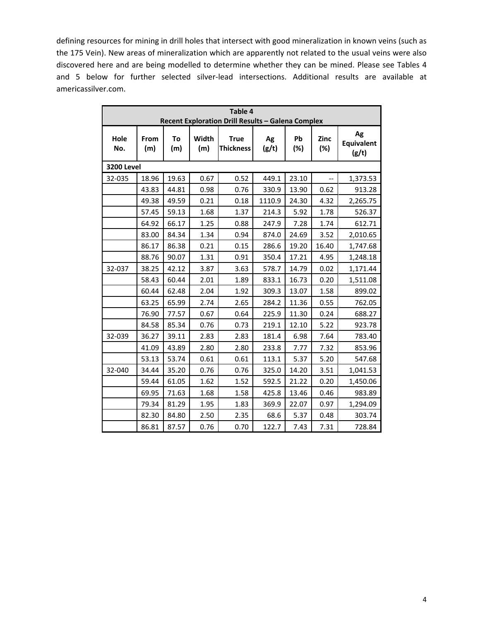defining resources for mining in drill holes that intersect with good mineralization in known veins (such as the 175 Vein). New areas of mineralization which are apparently not related to the usual veins were also discovered here and are being modelled to determine whether they can be mined. Please see Tables 4 and 5 below for further selected silver-lead intersections. Additional results are available at americassilver.com.

| Table 4<br>Recent Exploration Drill Results - Galena Complex |             |           |              |                                 |             |           |                          |                           |
|--------------------------------------------------------------|-------------|-----------|--------------|---------------------------------|-------------|-----------|--------------------------|---------------------------|
| Hole<br>No.                                                  | From<br>(m) | To<br>(m) | Width<br>(m) | <b>True</b><br><b>Thickness</b> | Ag<br>(g/t) | Pb<br>(%) | Zinc<br>(%)              | Ag<br>Equivalent<br>(g/t) |
| <b>3200 Level</b>                                            |             |           |              |                                 |             |           |                          |                           |
| 32-035                                                       | 18.96       | 19.63     | 0.67         | 0.52                            | 449.1       | 23.10     | $\overline{\phantom{a}}$ | 1,373.53                  |
|                                                              | 43.83       | 44.81     | 0.98         | 0.76                            | 330.9       | 13.90     | 0.62                     | 913.28                    |
|                                                              | 49.38       | 49.59     | 0.21         | 0.18                            | 1110.9      | 24.30     | 4.32                     | 2,265.75                  |
|                                                              | 57.45       | 59.13     | 1.68         | 1.37                            | 214.3       | 5.92      | 1.78                     | 526.37                    |
|                                                              | 64.92       | 66.17     | 1.25         | 0.88                            | 247.9       | 7.28      | 1.74                     | 612.71                    |
|                                                              | 83.00       | 84.34     | 1.34         | 0.94                            | 874.0       | 24.69     | 3.52                     | 2,010.65                  |
|                                                              | 86.17       | 86.38     | 0.21         | 0.15                            | 286.6       | 19.20     | 16.40                    | 1,747.68                  |
|                                                              | 88.76       | 90.07     | 1.31         | 0.91                            | 350.4       | 17.21     | 4.95                     | 1,248.18                  |
| 32-037                                                       | 38.25       | 42.12     | 3.87         | 3.63                            | 578.7       | 14.79     | 0.02                     | 1,171.44                  |
|                                                              | 58.43       | 60.44     | 2.01         | 1.89                            | 833.1       | 16.73     | 0.20                     | 1,511.08                  |
|                                                              | 60.44       | 62.48     | 2.04         | 1.92                            | 309.3       | 13.07     | 1.58                     | 899.02                    |
|                                                              | 63.25       | 65.99     | 2.74         | 2.65                            | 284.2       | 11.36     | 0.55                     | 762.05                    |
|                                                              | 76.90       | 77.57     | 0.67         | 0.64                            | 225.9       | 11.30     | 0.24                     | 688.27                    |
|                                                              | 84.58       | 85.34     | 0.76         | 0.73                            | 219.1       | 12.10     | 5.22                     | 923.78                    |
| 32-039                                                       | 36.27       | 39.11     | 2.83         | 2.83                            | 181.4       | 6.98      | 7.64                     | 783.40                    |
|                                                              | 41.09       | 43.89     | 2.80         | 2.80                            | 233.8       | 7.77      | 7.32                     | 853.96                    |
|                                                              | 53.13       | 53.74     | 0.61         | 0.61                            | 113.1       | 5.37      | 5.20                     | 547.68                    |
| 32-040                                                       | 34.44       | 35.20     | 0.76         | 0.76                            | 325.0       | 14.20     | 3.51                     | 1,041.53                  |
|                                                              | 59.44       | 61.05     | 1.62         | 1.52                            | 592.5       | 21.22     | 0.20                     | 1,450.06                  |
|                                                              | 69.95       | 71.63     | 1.68         | 1.58                            | 425.8       | 13.46     | 0.46                     | 983.89                    |
|                                                              | 79.34       | 81.29     | 1.95         | 1.83                            | 369.9       | 22.07     | 0.97                     | 1,294.09                  |
|                                                              | 82.30       | 84.80     | 2.50         | 2.35                            | 68.6        | 5.37      | 0.48                     | 303.74                    |
|                                                              | 86.81       | 87.57     | 0.76         | 0.70                            | 122.7       | 7.43      | 7.31                     | 728.84                    |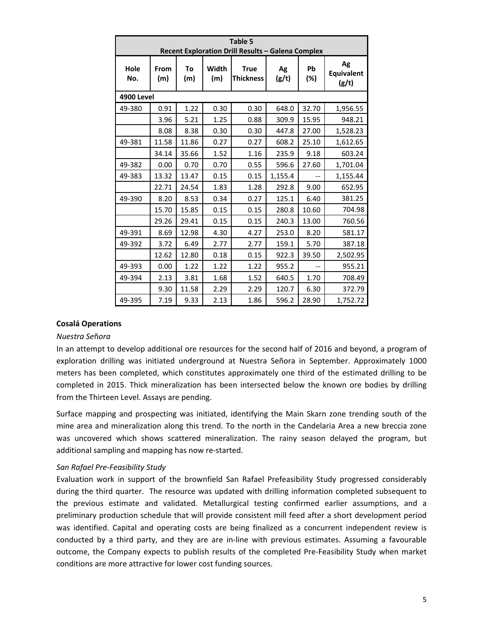| Table 5<br>Recent Exploration Drill Results - Galena Complex |             |           |              |                                 |             |           |                           |
|--------------------------------------------------------------|-------------|-----------|--------------|---------------------------------|-------------|-----------|---------------------------|
| Hole<br>No.                                                  | From<br>(m) | To<br>(m) | Width<br>(m) | <b>True</b><br><b>Thickness</b> | Ag<br>(g/t) | Pb<br>(%) | Ag<br>Equivalent<br>(g/t) |
| <b>4900 Level</b>                                            |             |           |              |                                 |             |           |                           |
| 49-380                                                       | 0.91        | 1.22      | 0.30         | 0.30                            | 648.0       | 32.70     | 1,956.55                  |
|                                                              | 3.96        | 5.21      | 1.25         | 0.88                            | 309.9       | 15.95     | 948.21                    |
|                                                              | 8.08        | 8.38      | 0.30         | 0.30                            | 447.8       | 27.00     | 1,528.23                  |
| 49-381                                                       | 11.58       | 11.86     | 0.27         | 0.27                            | 608.2       | 25.10     | 1,612.65                  |
|                                                              | 34.14       | 35.66     | 1.52         | 1.16                            | 235.9       | 9.18      | 603.24                    |
| 49-382                                                       | 0.00        | 0.70      | 0.70         | 0.55                            | 596.6       | 27.60     | 1,701.04                  |
| 49-383                                                       | 13.32       | 13.47     | 0.15         | 0.15                            | 1,155.4     |           | 1,155.44                  |
|                                                              | 22.71       | 24.54     | 1.83         | 1.28                            | 292.8       | 9.00      | 652.95                    |
| 49-390                                                       | 8.20        | 8.53      | 0.34         | 0.27                            | 125.1       | 6.40      | 381.25                    |
|                                                              | 15.70       | 15.85     | 0.15         | 0.15                            | 280.8       | 10.60     | 704.98                    |
|                                                              | 29.26       | 29.41     | 0.15         | 0.15                            | 240.3       | 13.00     | 760.56                    |
| 49-391                                                       | 8.69        | 12.98     | 4.30         | 4.27                            | 253.0       | 8.20      | 581.17                    |
| 49-392                                                       | 3.72        | 6.49      | 2.77         | 2.77                            | 159.1       | 5.70      | 387.18                    |
|                                                              | 12.62       | 12.80     | 0.18         | 0.15                            | 922.3       | 39.50     | 2,502.95                  |
| 49-393                                                       | 0.00        | 1.22      | 1.22         | 1.22                            | 955.2       |           | 955.21                    |
| 49-394                                                       | 2.13        | 3.81      | 1.68         | 1.52                            | 640.5       | 1.70      | 708.49                    |
|                                                              | 9.30        | 11.58     | 2.29         | 2.29                            | 120.7       | 6.30      | 372.79                    |
| 49-395                                                       | 7.19        | 9.33      | 2.13         | 1.86                            | 596.2       | 28.90     | 1,752.72                  |

## **Cosalá Operations**

#### *Nuestra Se*ñ*ora*

In an attempt to develop additional ore resources for the second half of 2016 and beyond, a program of exploration drilling was initiated underground at Nuestra Señora in September. Approximately 1000 meters has been completed, which constitutes approximately one third of the estimated drilling to be completed in 2015. Thick mineralization has been intersected below the known ore bodies by drilling from the Thirteen Level. Assays are pending.

Surface mapping and prospecting was initiated, identifying the Main Skarn zone trending south of the mine area and mineralization along this trend. To the north in the Candelaria Area a new breccia zone was uncovered which shows scattered mineralization. The rainy season delayed the program, but additional sampling and mapping has now re‐started.

#### *San Rafael Pre‐Feasibility Study*

Evaluation work in support of the brownfield San Rafael Prefeasibility Study progressed considerably during the third quarter. The resource was updated with drilling information completed subsequent to the previous estimate and validated. Metallurgical testing confirmed earlier assumptions, and a preliminary production schedule that will provide consistent mill feed after a short development period was identified. Capital and operating costs are being finalized as a concurrent independent review is conducted by a third party, and they are are in‐line with previous estimates. Assuming a favourable outcome, the Company expects to publish results of the completed Pre‐Feasibility Study when market conditions are more attractive for lower cost funding sources.